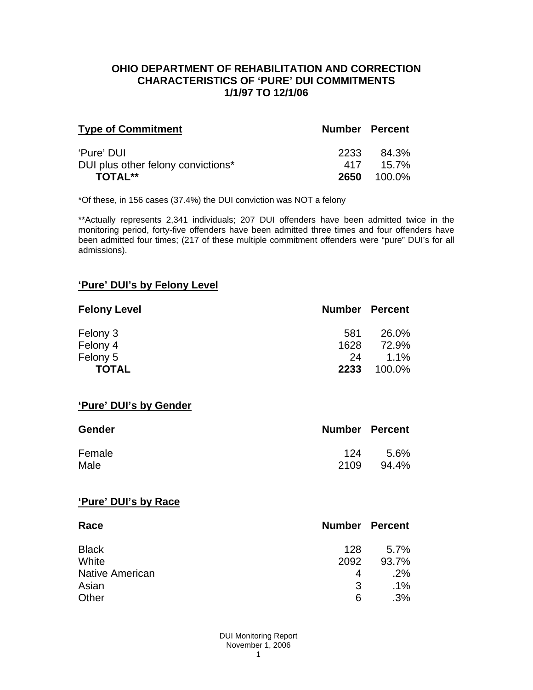### **OHIO DEPARTMENT OF REHABILITATION AND CORRECTION CHARACTERISTICS OF 'PURE' DUI COMMITMENTS 1/1/97 TO 12/1/06**

| <b>Type of Commitment</b>          | <b>Number Percent</b> |          |
|------------------------------------|-----------------------|----------|
| 'Pure' DUI                         | 2233                  | 84.3%    |
| DUI plus other felony convictions* | 417                   | $15.7\%$ |
| <b>TOTAL**</b>                     | 2650                  | 100.0%   |

\*Of these, in 156 cases (37.4%) the DUI conviction was NOT a felony

\*\*Actually represents 2,341 individuals; 207 DUI offenders have been admitted twice in the monitoring period, forty-five offenders have been admitted three times and four offenders have been admitted four times; (217 of these multiple commitment offenders were "pure" DUI's for all admissions).

# **'Pure' DUI's by Felony Level**

| <b>Felony Level</b> | <b>Number Percent</b> |         |
|---------------------|-----------------------|---------|
| Felony 3            | 581                   | 26.0%   |
| Felony 4            | 1628                  | 72.9%   |
| Felony 5            | 24                    | $1.1\%$ |
| <b>TOTAL</b>        | 2233                  | 100.0%  |

#### **'Pure' DUI's by Gender**

| Gender | <b>Number Percent</b> |       |
|--------|-----------------------|-------|
| Female | 124                   | 5.6%  |
| Male   | 2109                  | 94.4% |

#### **'Pure' DUI's by Race**

| Race                   | <b>Number Percent</b> |        |
|------------------------|-----------------------|--------|
| <b>Black</b>           | 128                   | 5.7%   |
| White                  | 2092                  | 93.7%  |
| <b>Native American</b> | 4                     | $.2\%$ |
| Asian                  | 3                     | $.1\%$ |
| Other                  | 6                     | .3%    |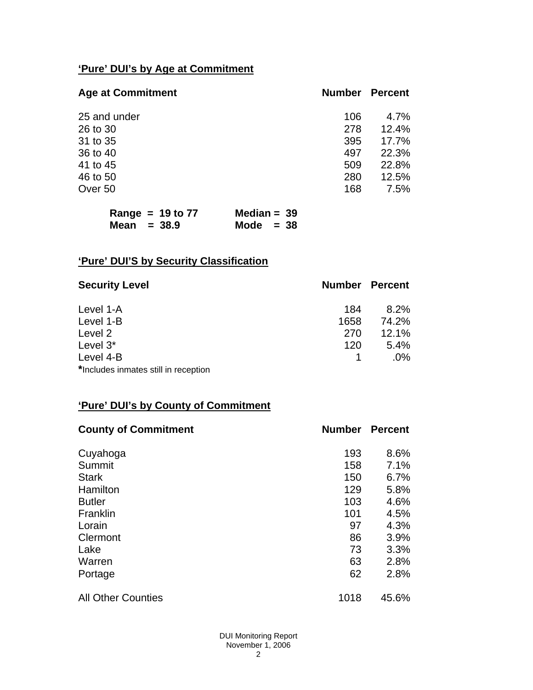# **'Pure' DUI's by Age at Commitment**

| <b>Age at Commitment</b> | <b>Number</b> | <b>Percent</b> |
|--------------------------|---------------|----------------|
| 25 and under             | 106           | 4.7%           |
| 26 to 30                 | 278           | 12.4%          |
| 31 to 35                 | 395           | 17.7%          |
| 36 to 40                 | 497           | 22.3%          |
| 41 to 45                 | 509           | 22.8%          |
| 46 to 50                 | 280           | 12.5%          |
| Over 50                  | 168           | 7.5%           |

| Range = $19$ to $77$ | Median = $39$ |
|----------------------|---------------|
| Mean $= 38.9$        | Mode $= 38$   |

# **'Pure' DUI'S by Security Classification**

| <b>Security Level</b>                | <b>Number Percent</b> |        |
|--------------------------------------|-----------------------|--------|
| Level 1-A                            | 184                   | 8.2%   |
| Level 1-B                            | 1658                  | 74.2%  |
| Level 2                              | 270                   | 12.1%  |
| Level 3*                             | 120                   | 5.4%   |
| Level 4-B                            |                       | $.0\%$ |
| *Includes inmates still in reception |                       |        |

# **'Pure' DUI's by County of Commitment**

| <b>County of Commitment</b> | <b>Number</b> | <b>Percent</b> |
|-----------------------------|---------------|----------------|
| Cuyahoga                    | 193           | 8.6%           |
| Summit                      | 158           | 7.1%           |
| <b>Stark</b>                | 150           | 6.7%           |
| Hamilton                    | 129           | 5.8%           |
| <b>Butler</b>               | 103           | 4.6%           |
| Franklin                    | 101           | 4.5%           |
| Lorain                      | 97            | 4.3%           |
| Clermont                    | 86            | 3.9%           |
| Lake                        | 73            | 3.3%           |
| Warren                      | 63            | 2.8%           |
| Portage                     | 62            | 2.8%           |
| <b>All Other Counties</b>   | 1018          | 45.6%          |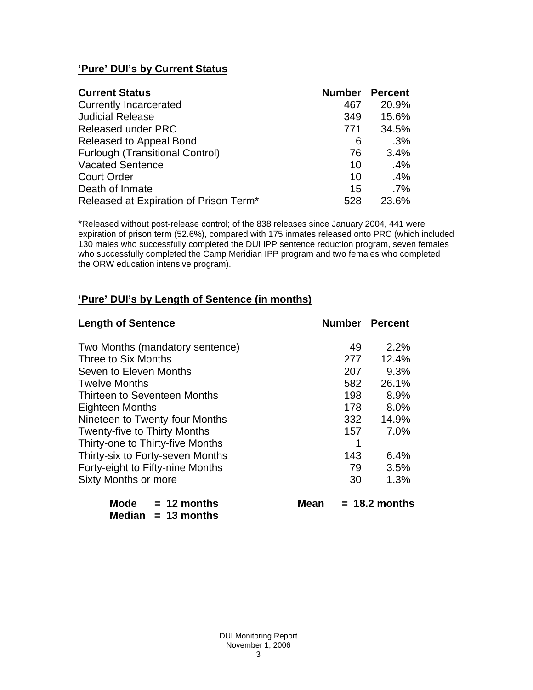# **'Pure' DUI's by Current Status**

| <b>Current Status</b>                  | <b>Number Percent</b> |        |
|----------------------------------------|-----------------------|--------|
| <b>Currently Incarcerated</b>          | 467                   | 20.9%  |
| <b>Judicial Release</b>                | 349                   | 15.6%  |
| <b>Released under PRC</b>              | 771                   | 34.5%  |
| Released to Appeal Bond                | 6                     | .3%    |
| <b>Furlough (Transitional Control)</b> | 76                    | 3.4%   |
| <b>Vacated Sentence</b>                | 10                    | .4%    |
| <b>Court Order</b>                     | 10                    | .4%    |
| Death of Inmate                        | 15                    | $.7\%$ |
| Released at Expiration of Prison Term* | 528                   | 23.6%  |

\*Released without post-release control; of the 838 releases since January 2004, 441 were expiration of prison term (52.6%), compared with 175 inmates released onto PRC (which included 130 males who successfully completed the DUI IPP sentence reduction program, seven females who successfully completed the Camp Meridian IPP program and two females who completed the ORW education intensive program).

# **'Pure' DUI's by Length of Sentence (in months)**

| <b>Length of Sentence</b>        | <b>Number Percent</b> |                 |
|----------------------------------|-----------------------|-----------------|
| Two Months (mandatory sentence)  | 49                    | 2.2%            |
| Three to Six Months              | 277                   | 12.4%           |
| Seven to Eleven Months           | 207                   | 9.3%            |
| <b>Twelve Months</b>             | 582                   | 26.1%           |
| Thirteen to Seventeen Months     | 198                   | 8.9%            |
| <b>Eighteen Months</b>           | 178                   | 8.0%            |
| Nineteen to Twenty-four Months   | 332                   | 14.9%           |
| Twenty-five to Thirty Months     | 157                   | 7.0%            |
| Thirty-one to Thirty-five Months |                       |                 |
| Thirty-six to Forty-seven Months | 143                   | 6.4%            |
| Forty-eight to Fifty-nine Months | 79                    | 3.5%            |
| <b>Sixty Months or more</b>      | 30                    | 1.3%            |
| Mode<br>$= 12$ months<br>Mean    |                       | $= 18.2$ months |

 **Median = 13 months**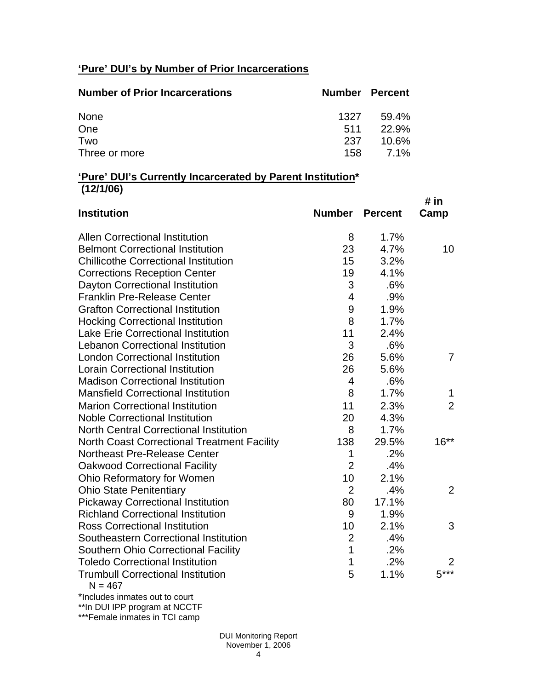# **'Pure' DUI's by Number of Prior Incarcerations**

| <b>Number of Prior Incarcerations</b> | <b>Number Percent</b> |       |
|---------------------------------------|-----------------------|-------|
| None                                  | 1327                  | 59.4% |
| One                                   | 511                   | 22.9% |
| Two                                   | 237                   | 10.6% |
| Three or more                         | 158                   | 7.1%  |

### **'Pure' DUI's Currently Incarcerated by Parent Institution\* (12/1/06)**

| <b>Institution</b>                                    | <b>Number</b>  | <b>Percent</b> | # in<br>Camp   |
|-------------------------------------------------------|----------------|----------------|----------------|
| <b>Allen Correctional Institution</b>                 | 8              | 1.7%           |                |
| <b>Belmont Correctional Institution</b>               | 23             | 4.7%           | 10             |
| <b>Chillicothe Correctional Institution</b>           | 15             | 3.2%           |                |
| <b>Corrections Reception Center</b>                   | 19             | 4.1%           |                |
| Dayton Correctional Institution                       | 3              | .6%            |                |
| <b>Franklin Pre-Release Center</b>                    | $\overline{4}$ | .9%            |                |
| <b>Grafton Correctional Institution</b>               | 9              | 1.9%           |                |
| <b>Hocking Correctional Institution</b>               | 8              | 1.7%           |                |
| <b>Lake Erie Correctional Institution</b>             | 11             | 2.4%           |                |
| <b>Lebanon Correctional Institution</b>               | 3              | .6%            |                |
| <b>London Correctional Institution</b>                | 26             | 5.6%           | 7              |
| <b>Lorain Correctional Institution</b>                | 26             | 5.6%           |                |
| <b>Madison Correctional Institution</b>               | 4              | .6%            |                |
| <b>Mansfield Correctional Institution</b>             | 8              | 1.7%           | 1              |
| <b>Marion Correctional Institution</b>                | 11             | 2.3%           | $\overline{2}$ |
| <b>Noble Correctional Institution</b>                 | 20             | 4.3%           |                |
| <b>North Central Correctional Institution</b>         | 8              | 1.7%           |                |
| <b>North Coast Correctional Treatment Facility</b>    | 138            | 29.5%          | $16***$        |
| <b>Northeast Pre-Release Center</b>                   | 1              | .2%            |                |
| <b>Oakwood Correctional Facility</b>                  | $\overline{2}$ | .4%            |                |
| Ohio Reformatory for Women                            | 10             | 2.1%           |                |
| <b>Ohio State Penitentiary</b>                        | $\overline{2}$ | .4%            | 2              |
| <b>Pickaway Correctional Institution</b>              | 80             | 17.1%          |                |
| <b>Richland Correctional Institution</b>              | 9              | 1.9%           |                |
| <b>Ross Correctional Institution</b>                  | 10             | 2.1%           | 3              |
| Southeastern Correctional Institution                 | $\overline{2}$ | .4%            |                |
| <b>Southern Ohio Correctional Facility</b>            | 1              | .2%            |                |
| <b>Toledo Correctional Institution</b>                | 1              | .2%            | 2              |
| <b>Trumbull Correctional Institution</b><br>$N = 467$ | 5              | 1.1%           | $5***$         |
| $\frac{1}{2}$                                         |                |                |                |

\*Includes inmates out to court \*\*In DUI IPP program at NCCTF

\*\*\*Female inmates in TCI camp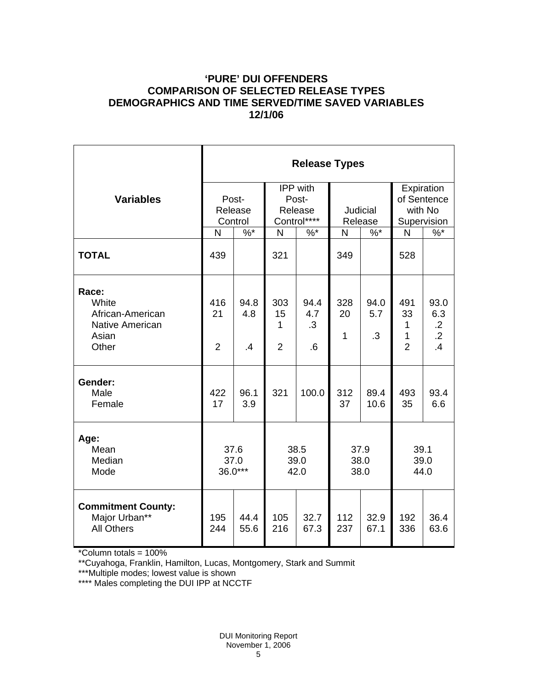# **'PURE' DUI OFFENDERS COMPARISON OF SELECTED RELEASE TYPES DEMOGRAPHICS AND TIME SERVED/TIME SAVED VARIABLES 12/1/06**

|                                                                                | <b>Release Types</b>        |                                |                                                    |                          |                           |                   |                                                     |                                                                 |  |
|--------------------------------------------------------------------------------|-----------------------------|--------------------------------|----------------------------------------------------|--------------------------|---------------------------|-------------------|-----------------------------------------------------|-----------------------------------------------------------------|--|
| <b>Variables</b>                                                               | Post-<br>Release<br>Control |                                | <b>IPP</b> with<br>Post-<br>Release<br>Control**** |                          | Judicial<br>Release       |                   | Expiration<br>of Sentence<br>with No<br>Supervision |                                                                 |  |
|                                                                                | N                           | $\frac{9}{6}$ *                | $\mathsf{N}$                                       | $%$ *                    | N                         | $\%$ *            | N                                                   | $\%$                                                            |  |
| <b>TOTAL</b>                                                                   | 439                         |                                | 321                                                |                          | 349                       |                   | 528                                                 |                                                                 |  |
| Race:<br>White<br>African-American<br><b>Native American</b><br>Asian<br>Other | 416<br>21<br>$\overline{2}$ | 94.8<br>4.8<br>$\overline{.4}$ | 303<br>15<br>1<br>$\overline{2}$                   | 94.4<br>4.7<br>.3<br>6.6 | 328<br>20<br>$\mathbf{1}$ | 94.0<br>5.7<br>.3 | 491<br>33<br>1<br>1<br>$\overline{2}$               | 93.0<br>6.3<br>$\cdot$ .2<br>$\overline{.2}$<br>$\overline{.4}$ |  |
| Gender:<br>Male<br>Female                                                      | 422<br>17                   | 96.1<br>3.9                    | 321                                                | 100.0                    | 312<br>37                 | 89.4<br>10.6      | 493<br>35                                           | 93.4<br>6.6                                                     |  |
| Age:<br>Mean<br>Median<br>Mode                                                 | 37.6<br>37.0<br>36.0***     |                                | 38.5<br>39.0<br>42.0                               |                          | 37.9<br>38.0<br>38.0      |                   | 39.1<br>39.0<br>44.0                                |                                                                 |  |
| <b>Commitment County:</b><br>Major Urban**<br><b>All Others</b>                | 195<br>244                  | 44.4<br>55.6                   | 105<br>216                                         | 32.7<br>67.3             | 112<br>237                | 32.9<br>67.1      | 192<br>336                                          | 36.4<br>63.6                                                    |  |

\*Column totals = 100%

\*\*Cuyahoga, Franklin, Hamilton, Lucas, Montgomery, Stark and Summit

\*\*\*Multiple modes; lowest value is shown

\*\*\*\* Males completing the DUI IPP at NCCTF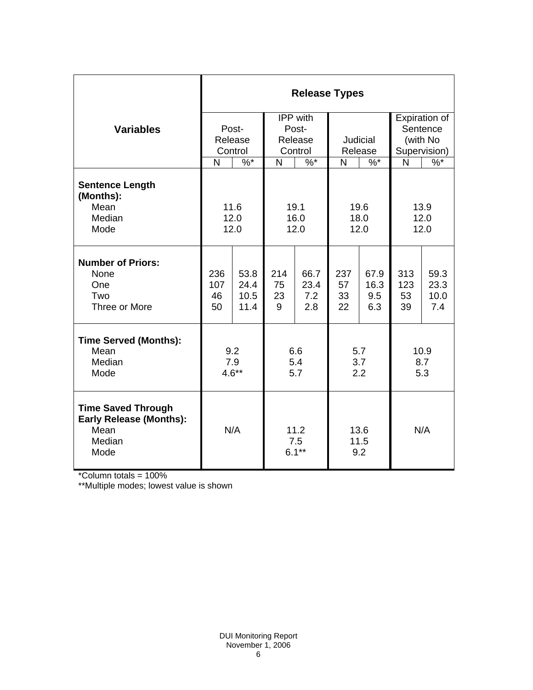|                                                                                       | <b>Release Types</b>        |                              |                                         |                            |                       |                            |                                                       |                             |  |
|---------------------------------------------------------------------------------------|-----------------------------|------------------------------|-----------------------------------------|----------------------------|-----------------------|----------------------------|-------------------------------------------------------|-----------------------------|--|
| <b>Variables</b>                                                                      | Post-<br>Release<br>Control |                              | IPP with<br>Post-<br>Release<br>Control |                            | Judicial<br>Release   |                            | Expiration of<br>Sentence<br>(with No<br>Supervision) |                             |  |
|                                                                                       | N                           | $\%^{*}$                     | N                                       | $\%$ *                     |                       | N<br>$\%$ *                |                                                       | $\frac{9}{6}$               |  |
| <b>Sentence Length</b><br>(Months):<br>Mean<br>Median<br>Mode                         | 11.6<br>12.0<br>12.0        |                              | 19.1<br>16.0<br>12.0                    |                            | 19.6<br>18.0<br>12.0  |                            | 13.9<br>12.0<br>12.0                                  |                             |  |
| <b>Number of Priors:</b><br>None<br>One<br>Two<br>Three or More                       | 236<br>107<br>46<br>50      | 53.8<br>24.4<br>10.5<br>11.4 | 214<br>75<br>23<br>9                    | 66.7<br>23.4<br>7.2<br>2.8 | 237<br>57<br>33<br>22 | 67.9<br>16.3<br>9.5<br>6.3 | 313<br>123<br>53<br>39                                | 59.3<br>23.3<br>10.0<br>7.4 |  |
| <b>Time Served (Months):</b><br>Mean<br>Median<br>Mode                                | 9.2<br>7.9<br>$4.6**$       |                              | 6.6<br>5.4<br>5.7                       |                            | 5.7<br>3.7<br>2.2     |                            | 10.9<br>8.7<br>5.3                                    |                             |  |
| <b>Time Saved Through</b><br><b>Early Release (Months):</b><br>Mean<br>Median<br>Mode | N/A                         |                              | 11.2<br>7.5<br>$6.1***$                 |                            | 13.6<br>11.5<br>9.2   |                            | N/A                                                   |                             |  |

\*Column totals = 100%

\*\*Multiple modes; lowest value is shown